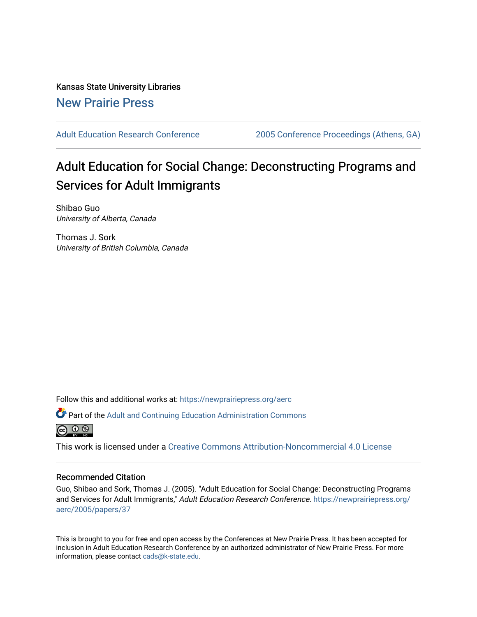Kansas State University Libraries [New Prairie Press](https://newprairiepress.org/) 

[Adult Education Research Conference](https://newprairiepress.org/aerc) [2005 Conference Proceedings \(Athens, GA\)](https://newprairiepress.org/aerc/2005) 

# Adult Education for Social Change: Deconstructing Programs and Services for Adult Immigrants

Shibao Guo University of Alberta, Canada

Thomas J. Sork University of British Columbia, Canada

Follow this and additional works at: [https://newprairiepress.org/aerc](https://newprairiepress.org/aerc?utm_source=newprairiepress.org%2Faerc%2F2005%2Fpapers%2F37&utm_medium=PDF&utm_campaign=PDFCoverPages)

Part of the [Adult and Continuing Education Administration Commons](http://network.bepress.com/hgg/discipline/789?utm_source=newprairiepress.org%2Faerc%2F2005%2Fpapers%2F37&utm_medium=PDF&utm_campaign=PDFCoverPages)



This work is licensed under a [Creative Commons Attribution-Noncommercial 4.0 License](https://creativecommons.org/licenses/by-nc/4.0/)

#### Recommended Citation

Guo, Shibao and Sork, Thomas J. (2005). "Adult Education for Social Change: Deconstructing Programs and Services for Adult Immigrants," Adult Education Research Conference. [https://newprairiepress.org/](https://newprairiepress.org/aerc/2005/papers/37) [aerc/2005/papers/37](https://newprairiepress.org/aerc/2005/papers/37) 

This is brought to you for free and open access by the Conferences at New Prairie Press. It has been accepted for inclusion in Adult Education Research Conference by an authorized administrator of New Prairie Press. For more information, please contact [cads@k-state.edu](mailto:cads@k-state.edu).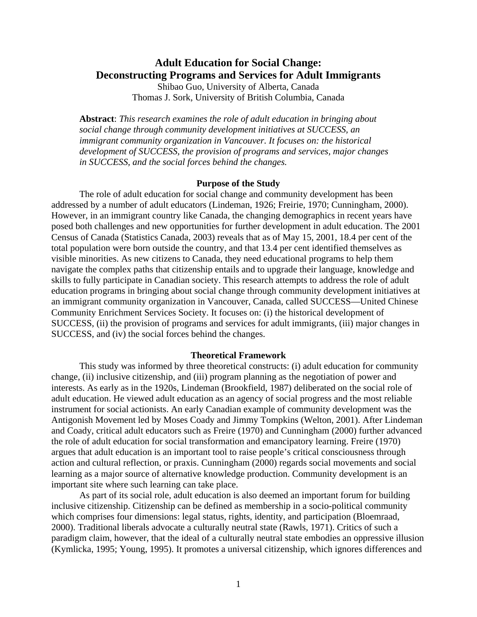## **Adult Education for Social Change: Deconstructing Programs and Services for Adult Immigrants**

Shibao Guo, University of Alberta, Canada Thomas J. Sork, University of British Columbia, Canada

**Abstract**: *This research examines the role of adult education in bringing about social change through community development initiatives at SUCCESS, an immigrant community organization in Vancouver. It focuses on: the historical development of SUCCESS, the provision of programs and services, major changes in SUCCESS, and the social forces behind the changes.*

#### **Purpose of the Study**

The role of adult education for social change and community development has been addressed by a number of adult educators (Lindeman, 1926; Freirie, 1970; Cunningham, 2000). However, in an immigrant country like Canada, the changing demographics in recent years have posed both challenges and new opportunities for further development in adult education. The 2001 Census of Canada (Statistics Canada, 2003) reveals that as of May 15, 2001, 18.4 per cent of the total population were born outside the country, and that 13.4 per cent identified themselves as visible minorities. As new citizens to Canada, they need educational programs to help them navigate the complex paths that citizenship entails and to upgrade their language, knowledge and skills to fully participate in Canadian society. This research attempts to address the role of adult education programs in bringing about social change through community development initiatives at an immigrant community organization in Vancouver, Canada, called SUCCESS—United Chinese Community Enrichment Services Society. It focuses on: (i) the historical development of SUCCESS, (ii) the provision of programs and services for adult immigrants, (iii) major changes in SUCCESS, and (iv) the social forces behind the changes.

#### **Theoretical Framework**

This study was informed by three theoretical constructs: (i) adult education for community change, (ii) inclusive citizenship, and (iii) program planning as the negotiation of power and interests. As early as in the 1920s, Lindeman (Brookfield, 1987) deliberated on the social role of adult education. He viewed adult education as an agency of social progress and the most reliable instrument for social actionists. An early Canadian example of community development was the Antigonish Movement led by Moses Coady and Jimmy Tompkins (Welton, 2001). After Lindeman and Coady, critical adult educators such as Freire (1970) and Cunningham (2000) further advanced the role of adult education for social transformation and emancipatory learning. Freire (1970) argues that adult education is an important tool to raise people's critical consciousness through action and cultural reflection, or praxis. Cunningham (2000) regards social movements and social learning as a major source of alternative knowledge production. Community development is an important site where such learning can take place.

 As part of its social role, adult education is also deemed an important forum for building inclusive citizenship. Citizenship can be defined as membership in a socio-political community which comprises four dimensions: legal status, rights, identity, and participation (Bloemraad, 2000). Traditional liberals advocate a culturally neutral state (Rawls, 1971). Critics of such a paradigm claim, however, that the ideal of a culturally neutral state embodies an oppressive illusion (Kymlicka, 1995; Young, 1995). It promotes a universal citizenship, which ignores differences and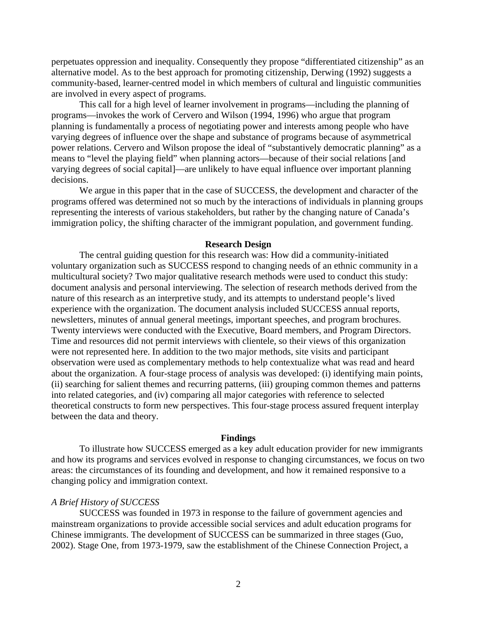perpetuates oppression and inequality. Consequently they propose "differentiated citizenship" as an alternative model. As to the best approach for promoting citizenship, Derwing (1992) suggests a community-based, learner-centred model in which members of cultural and linguistic communities are involved in every aspect of programs.

This call for a high level of learner involvement in programs—including the planning of programs—invokes the work of Cervero and Wilson (1994, 1996) who argue that program planning is fundamentally a process of negotiating power and interests among people who have varying degrees of influence over the shape and substance of programs because of asymmetrical power relations. Cervero and Wilson propose the ideal of "substantively democratic planning" as a means to "level the playing field" when planning actors—because of their social relations [and varying degrees of social capital]—are unlikely to have equal influence over important planning decisions.

We argue in this paper that in the case of SUCCESS, the development and character of the programs offered was determined not so much by the interactions of individuals in planning groups representing the interests of various stakeholders, but rather by the changing nature of Canada's immigration policy, the shifting character of the immigrant population, and government funding.

#### **Research Design**

The central guiding question for this research was: How did a community-initiated voluntary organization such as SUCCESS respond to changing needs of an ethnic community in a multicultural society? Two major qualitative research methods were used to conduct this study: document analysis and personal interviewing. The selection of research methods derived from the nature of this research as an interpretive study, and its attempts to understand people's lived experience with the organization. The document analysis included SUCCESS annual reports, newsletters, minutes of annual general meetings, important speeches, and program brochures. Twenty interviews were conducted with the Executive, Board members, and Program Directors. Time and resources did not permit interviews with clientele, so their views of this organization were not represented here. In addition to the two major methods, site visits and participant observation were used as complementary methods to help contextualize what was read and heard about the organization. A four-stage process of analysis was developed: (i) identifying main points, (ii) searching for salient themes and recurring patterns, (iii) grouping common themes and patterns into related categories, and (iv) comparing all major categories with reference to selected theoretical constructs to form new perspectives. This four-stage process assured frequent interplay between the data and theory.

#### **Findings**

To illustrate how SUCCESS emerged as a key adult education provider for new immigrants and how its programs and services evolved in response to changing circumstances, we focus on two areas: the circumstances of its founding and development, and how it remained responsive to a changing policy and immigration context.

#### *A Brief History of SUCCESS*

SUCCESS was founded in 1973 in response to the failure of government agencies and mainstream organizations to provide accessible social services and adult education programs for Chinese immigrants. The development of SUCCESS can be summarized in three stages (Guo, 2002). Stage One, from 1973-1979, saw the establishment of the Chinese Connection Project, a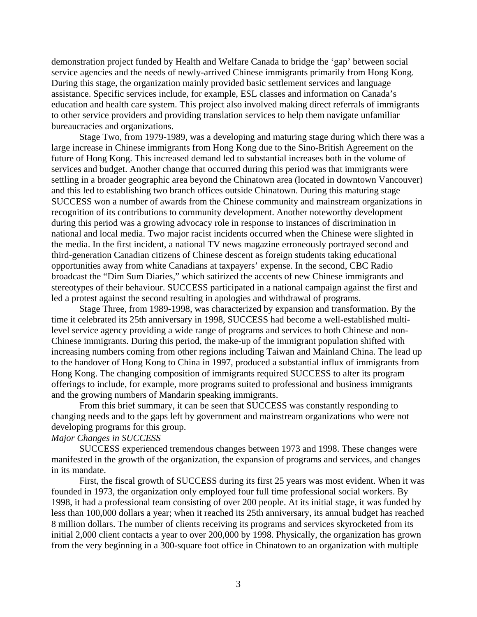demonstration project funded by Health and Welfare Canada to bridge the 'gap' between social service agencies and the needs of newly-arrived Chinese immigrants primarily from Hong Kong. During this stage, the organization mainly provided basic settlement services and language assistance. Specific services include, for example, ESL classes and information on Canada's education and health care system. This project also involved making direct referrals of immigrants to other service providers and providing translation services to help them navigate unfamiliar bureaucracies and organizations.

Stage Two, from 1979-1989, was a developing and maturing stage during which there was a large increase in Chinese immigrants from Hong Kong due to the Sino-British Agreement on the future of Hong Kong. This increased demand led to substantial increases both in the volume of services and budget. Another change that occurred during this period was that immigrants were settling in a broader geographic area beyond the Chinatown area (located in downtown Vancouver) and this led to establishing two branch offices outside Chinatown. During this maturing stage SUCCESS won a number of awards from the Chinese community and mainstream organizations in recognition of its contributions to community development. Another noteworthy development during this period was a growing advocacy role in response to instances of discrimination in national and local media. Two major racist incidents occurred when the Chinese were slighted in the media. In the first incident, a national TV news magazine erroneously portrayed second and third-generation Canadian citizens of Chinese descent as foreign students taking educational opportunities away from white Canadians at taxpayers' expense. In the second, CBC Radio broadcast the "Dim Sum Diaries," which satirized the accents of new Chinese immigrants and stereotypes of their behaviour. SUCCESS participated in a national campaign against the first and led a protest against the second resulting in apologies and withdrawal of programs.

 Stage Three, from 1989-1998, was characterized by expansion and transformation. By the time it celebrated its 25th anniversary in 1998, SUCCESS had become a well-established multilevel service agency providing a wide range of programs and services to both Chinese and non-Chinese immigrants. During this period, the make-up of the immigrant population shifted with increasing numbers coming from other regions including Taiwan and Mainland China. The lead up to the handover of Hong Kong to China in 1997, produced a substantial influx of immigrants from Hong Kong. The changing composition of immigrants required SUCCESS to alter its program offerings to include, for example, more programs suited to professional and business immigrants and the growing numbers of Mandarin speaking immigrants.

From this brief summary, it can be seen that SUCCESS was constantly responding to changing needs and to the gaps left by government and mainstream organizations who were not developing programs for this group.

### *Major Changes in SUCCESS*

SUCCESS experienced tremendous changes between 1973 and 1998. These changes were manifested in the growth of the organization, the expansion of programs and services, and changes in its mandate.

First, the fiscal growth of SUCCESS during its first 25 years was most evident. When it was founded in 1973, the organization only employed four full time professional social workers. By 1998, it had a professional team consisting of over 200 people. At its initial stage, it was funded by less than 100,000 dollars a year; when it reached its 25th anniversary, its annual budget has reached 8 million dollars. The number of clients receiving its programs and services skyrocketed from its initial 2,000 client contacts a year to over 200,000 by 1998. Physically, the organization has grown from the very beginning in a 300-square foot office in Chinatown to an organization with multiple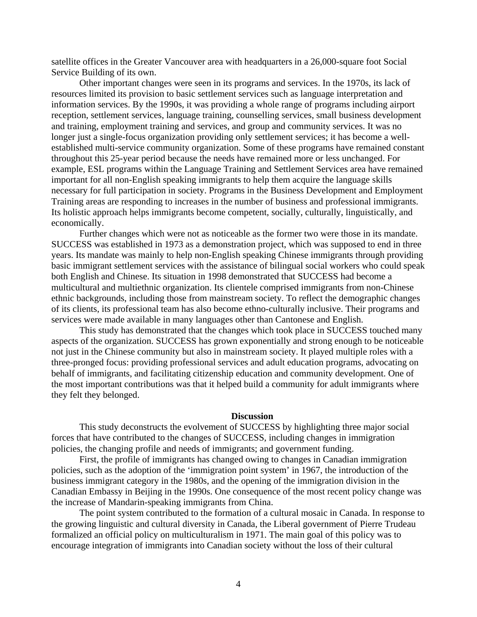satellite offices in the Greater Vancouver area with headquarters in a 26,000-square foot Social Service Building of its own.

Other important changes were seen in its programs and services. In the 1970s, its lack of resources limited its provision to basic settlement services such as language interpretation and information services. By the 1990s, it was providing a whole range of programs including airport reception, settlement services, language training, counselling services, small business development and training, employment training and services, and group and community services. It was no longer just a single-focus organization providing only settlement services; it has become a wellestablished multi-service community organization. Some of these programs have remained constant throughout this 25-year period because the needs have remained more or less unchanged. For example, ESL programs within the Language Training and Settlement Services area have remained important for all non-English speaking immigrants to help them acquire the language skills necessary for full participation in society. Programs in the Business Development and Employment Training areas are responding to increases in the number of business and professional immigrants. Its holistic approach helps immigrants become competent, socially, culturally, linguistically, and economically.

Further changes which were not as noticeable as the former two were those in its mandate. SUCCESS was established in 1973 as a demonstration project, which was supposed to end in three years. Its mandate was mainly to help non-English speaking Chinese immigrants through providing basic immigrant settlement services with the assistance of bilingual social workers who could speak both English and Chinese. Its situation in 1998 demonstrated that SUCCESS had become a multicultural and multiethnic organization. Its clientele comprised immigrants from non-Chinese ethnic backgrounds, including those from mainstream society. To reflect the demographic changes of its clients, its professional team has also become ethno-culturally inclusive. Their programs and services were made available in many languages other than Cantonese and English.

This study has demonstrated that the changes which took place in SUCCESS touched many aspects of the organization. SUCCESS has grown exponentially and strong enough to be noticeable not just in the Chinese community but also in mainstream society. It played multiple roles with a three-pronged focus: providing professional services and adult education programs, advocating on behalf of immigrants, and facilitating citizenship education and community development. One of the most important contributions was that it helped build a community for adult immigrants where they felt they belonged.

#### **Discussion**

This study deconstructs the evolvement of SUCCESS by highlighting three major social forces that have contributed to the changes of SUCCESS, including changes in immigration policies, the changing profile and needs of immigrants; and government funding.

First, the profile of immigrants has changed owing to changes in Canadian immigration policies, such as the adoption of the 'immigration point system' in 1967, the introduction of the business immigrant category in the 1980s, and the opening of the immigration division in the Canadian Embassy in Beijing in the 1990s. One consequence of the most recent policy change was the increase of Mandarin-speaking immigrants from China.

The point system contributed to the formation of a cultural mosaic in Canada. In response to the growing linguistic and cultural diversity in Canada, the Liberal government of Pierre Trudeau formalized an official policy on multiculturalism in 1971. The main goal of this policy was to encourage integration of immigrants into Canadian society without the loss of their cultural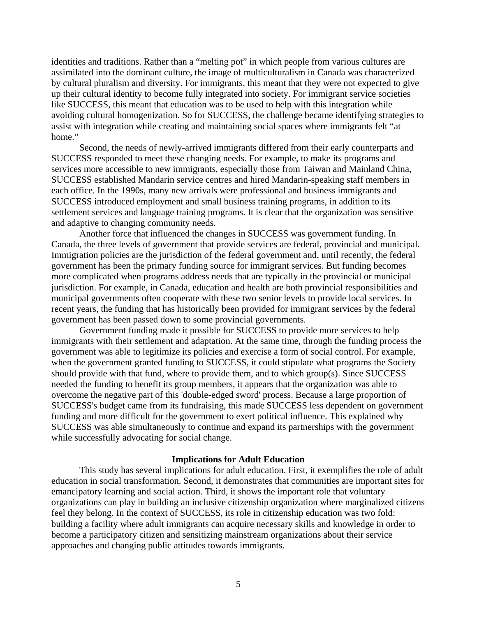identities and traditions. Rather than a "melting pot" in which people from various cultures are assimilated into the dominant culture, the image of multiculturalism in Canada was characterized by cultural pluralism and diversity. For immigrants, this meant that they were not expected to give up their cultural identity to become fully integrated into society. For immigrant service societies like SUCCESS, this meant that education was to be used to help with this integration while avoiding cultural homogenization. So for SUCCESS, the challenge became identifying strategies to assist with integration while creating and maintaining social spaces where immigrants felt "at home."

Second, the needs of newly-arrived immigrants differed from their early counterparts and SUCCESS responded to meet these changing needs. For example, to make its programs and services more accessible to new immigrants, especially those from Taiwan and Mainland China, SUCCESS established Mandarin service centres and hired Mandarin-speaking staff members in each office. In the 1990s, many new arrivals were professional and business immigrants and SUCCESS introduced employment and small business training programs, in addition to its settlement services and language training programs. It is clear that the organization was sensitive and adaptive to changing community needs.

Another force that influenced the changes in SUCCESS was government funding. In Canada, the three levels of government that provide services are federal, provincial and municipal. Immigration policies are the jurisdiction of the federal government and, until recently, the federal government has been the primary funding source for immigrant services. But funding becomes more complicated when programs address needs that are typically in the provincial or municipal jurisdiction. For example, in Canada, education and health are both provincial responsibilities and municipal governments often cooperate with these two senior levels to provide local services. In recent years, the funding that has historically been provided for immigrant services by the federal government has been passed down to some provincial governments.

Government funding made it possible for SUCCESS to provide more services to help immigrants with their settlement and adaptation. At the same time, through the funding process the government was able to legitimize its policies and exercise a form of social control. For example, when the government granted funding to SUCCESS, it could stipulate what programs the Society should provide with that fund, where to provide them, and to which group(s). Since SUCCESS needed the funding to benefit its group members, it appears that the organization was able to overcome the negative part of this 'double-edged sword' process. Because a large proportion of SUCCESS's budget came from its fundraising, this made SUCCESS less dependent on government funding and more difficult for the government to exert political influence. This explained why SUCCESS was able simultaneously to continue and expand its partnerships with the government while successfully advocating for social change.

#### **Implications for Adult Education**

This study has several implications for adult education. First, it exemplifies the role of adult education in social transformation. Second, it demonstrates that communities are important sites for emancipatory learning and social action. Third, it shows the important role that voluntary organizations can play in building an inclusive citizenship organization where marginalized citizens feel they belong. In the context of SUCCESS, its role in citizenship education was two fold: building a facility where adult immigrants can acquire necessary skills and knowledge in order to become a participatory citizen and sensitizing mainstream organizations about their service approaches and changing public attitudes towards immigrants.